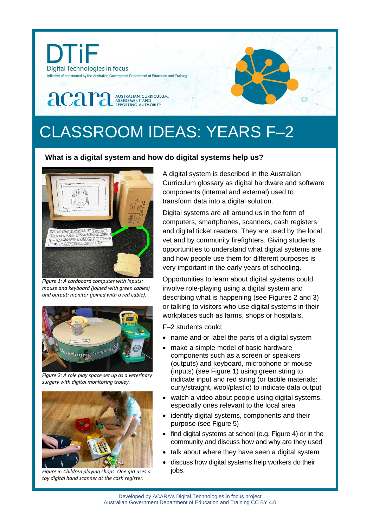

# CLASSROOM IDEAS: YEARS F–2

## **What is a digital system and how do digital systems help us?**



*Figure 1: A cardboard computer with inputs: mouse and keyboard (joined with green cables) and output: monitor (joined with a red cable).* 



*Figure 2: A role play space set up as a veterinary surgery with digital monitoring trolley.*



*Figure 3: Children playing shops. One girl uses a toy digital hand scanner at the cash register.*

A digital system is described in the Australian Curriculum glossary as digital hardware and software components (internal and external) used to transform data into a digital solution.

Digital systems are all around us in the form of computers, smartphones, scanners, cash registers and digital ticket readers. They are used by the local vet and by community firefighters. Giving students opportunities to understand what digital systems are and how people use them for different purposes is very important in the early years of schooling.

Opportunities to learn about digital systems could involve role-playing using a digital system and describing what is happening (see Figures 2 and 3) or talking to visitors who use digital systems in their workplaces such as farms, shops or hospitals.

F–2 students could:

- name and or label the parts of a digital system
- make a simple model of basic hardware components such as a screen or speakers (outputs) and keyboard, microphone or mouse (inputs) (see Figure 1) using green string to indicate input and red string (or tactile materials: curly/straight, wool/plastic) to indicate data output
- watch a video about people using digital systems, especially ones relevant to the local area
- identify digital systems, components and their purpose (see Figure 5)
- find digital systems at school (e.g. Figure 4) or in the community and discuss how and why are they used
- talk about where they have seen a digital system
- discuss how digital systems help workers do their jobs.